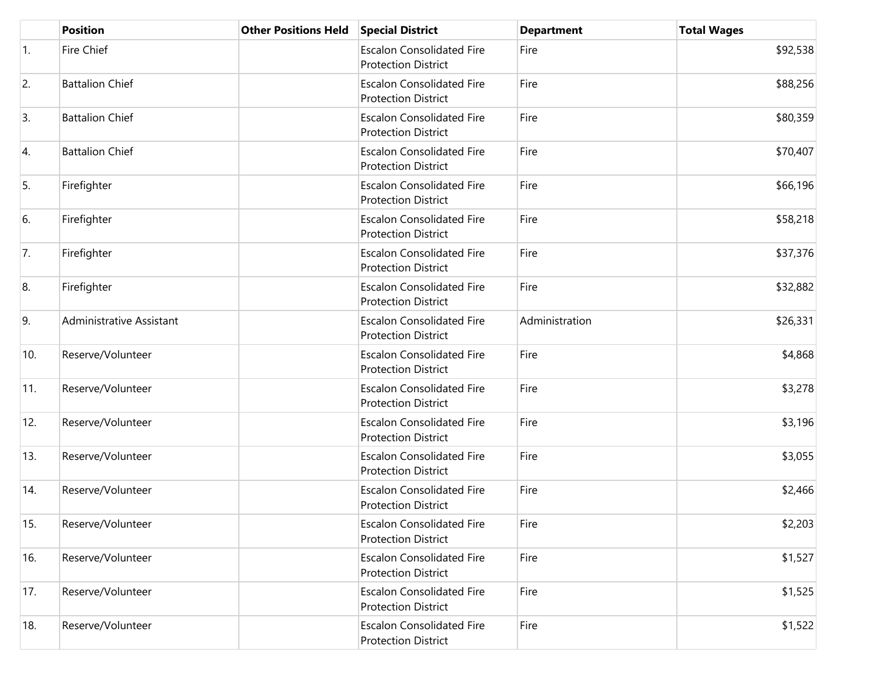|            | <b>Position</b>          | <b>Other Positions Held</b> | <b>Special District</b>                                        | <b>Department</b> | <b>Total Wages</b> |
|------------|--------------------------|-----------------------------|----------------------------------------------------------------|-------------------|--------------------|
| $\vert$ 1. | <b>Fire Chief</b>        |                             | <b>Escalon Consolidated Fire</b><br><b>Protection District</b> | Fire              | \$92,538           |
| 2.         | <b>Battalion Chief</b>   |                             | <b>Escalon Consolidated Fire</b><br><b>Protection District</b> | Fire              | \$88,256           |
| 3.         | <b>Battalion Chief</b>   |                             | <b>Escalon Consolidated Fire</b><br><b>Protection District</b> | Fire              | \$80,359           |
| 4.         | <b>Battalion Chief</b>   |                             | <b>Escalon Consolidated Fire</b><br><b>Protection District</b> | Fire              | \$70,407           |
| 5.         | Firefighter              |                             | <b>Escalon Consolidated Fire</b><br><b>Protection District</b> | Fire              | \$66,196           |
| 6.         | Firefighter              |                             | <b>Escalon Consolidated Fire</b><br><b>Protection District</b> | Fire              | \$58,218           |
| 7.         | Firefighter              |                             | <b>Escalon Consolidated Fire</b><br><b>Protection District</b> | Fire              | \$37,376           |
| 8.         | Firefighter              |                             | <b>Escalon Consolidated Fire</b><br><b>Protection District</b> | Fire              | \$32,882           |
| 9.         | Administrative Assistant |                             | <b>Escalon Consolidated Fire</b><br><b>Protection District</b> | Administration    | \$26,331           |
| 10.        | Reserve/Volunteer        |                             | <b>Escalon Consolidated Fire</b><br><b>Protection District</b> | Fire              | \$4,868            |
| 11.        | Reserve/Volunteer        |                             | <b>Escalon Consolidated Fire</b><br><b>Protection District</b> | Fire              | \$3,278            |
| 12.        | Reserve/Volunteer        |                             | <b>Escalon Consolidated Fire</b><br><b>Protection District</b> | Fire              | \$3,196            |
| 13.        | Reserve/Volunteer        |                             | <b>Escalon Consolidated Fire</b><br><b>Protection District</b> | Fire              | \$3,055            |
| 14.        | Reserve/Volunteer        |                             | <b>Escalon Consolidated Fire</b><br><b>Protection District</b> | Fire              | \$2,466            |
| 15.        | Reserve/Volunteer        |                             | <b>Escalon Consolidated Fire</b><br><b>Protection District</b> | Fire              | \$2,203            |
| 16.        | Reserve/Volunteer        |                             | <b>Escalon Consolidated Fire</b><br><b>Protection District</b> | Fire              | \$1,527            |
| 17.        | Reserve/Volunteer        |                             | <b>Escalon Consolidated Fire</b><br><b>Protection District</b> | Fire              | \$1,525            |
| 18.        | Reserve/Volunteer        |                             | <b>Escalon Consolidated Fire</b><br><b>Protection District</b> | Fire              | \$1,522            |